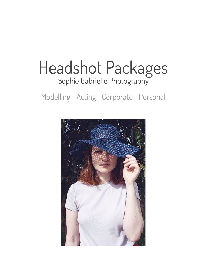# Headshot Packages [Sophie Gabrielle Photography](https://www.sophiegabriellephoto.com/)

## Modelling Acting Corporate Personal

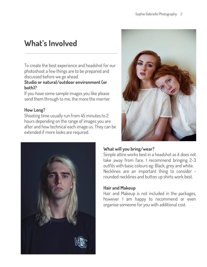## **What's Involved**

To create the best experience and headshot for our photoshoot a few things are to be prepared and discussed before we go ahead.

#### **Studio or natural/outdoor environment (or both)?**

If you have some sample images you like please send them through to me, the more the merrier.

### **How Long?**

Shooting time usually run from 45 minutes to 2 hours depending on the range of images you are after and how technical each image us. They can be extended if more looks are required.





### **What will you bring/wear?**

Simple attire works best in a headshot as it does not take away from face. I recommend bringing 2-3 outfits with basic colours eg: Black, grey and white. Necklines are an important thing to consider rounded necklines and button up shirts work best.

### **Hair and Makeup**

Hair and Makeup is not included in the packages, however I am happy to recommend or even organise someone for you with additional cost.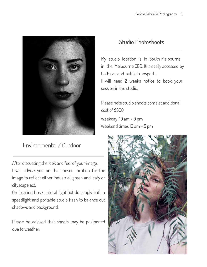

## Environmental / Outdoor

After discussing the look and feel of your image, I will advise you on the chosen location for the

image to reflect either industrial, green and leafy or cityscape ect.

On location I use natural light but do supply both a speedlight and portable studio flash to balance out shadows and background.

Please be advised that shoots may be postponed due to weather.

## Studio Photoshoots

My studio location is in South Melbourne in the Melbourne CBD. It is easily accessed by both car and public transport . I will need 2 weeks notice to book your session in the studio.

Please note studio shoots come at additional cost of \$300

Weekday: 10 am - 9 pm Weekend times 10 am - 5 pm

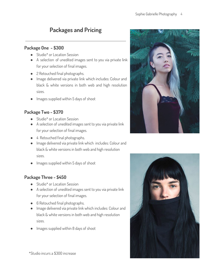## **Packages and Pricing**

#### **Package One - \$300**

- Studio\* or Location Session
- A selection of unedited images sent to you via private link for your selection of final images.
- 2 Retouched final photographs.
- Image delivered via private link which includes: Colour and black & white versions in both web and high resolution sizes.
- Images supplied within 5 days of shoot

### **Package Two - \$370**

- Studio<sup>\*</sup> or Location Session
- A selection of unedited images sent to you via private link for your selection of final images.
- 4 Retouched final photographs.
- Image delivered via private link which includes: Colour and black & white versions in both web and high resolution sizes.
- Images supplied within 5 days of shoot

## **Package Three - \$450**

- Studio<sup>\*</sup> or Location Session
- A selection of unedited images sent to you via private link for your selection of final images.
- 6 Retouched final photographs.
- Image delivered via private link which includes: Colour and black & white versions in both web and high resolution sizes.
- Images supplied within 8 days of shoot